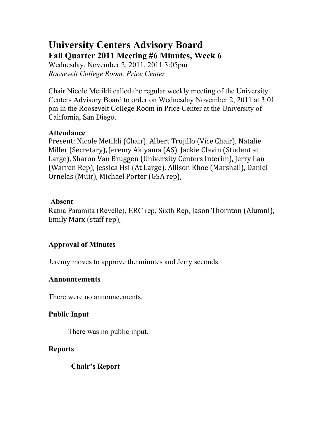# **University Centers Advisory Board Fall Quarter 2011 Meeting #6 Minutes, Week 6**

Wednesday, November 2, 2011, 2011 3:05pm *Roosevelt College Room, Price Center*

Chair Nicole Metildi called the regular weekly meeting of the University Centers Advisory Board to order on Wednesday November 2, 2011 at 3:01 pm in the Roosevelt College Room in Price Center at the University of California, San Diego.

#### **Attendance**

Present: Nicole Metildi (Chair), Albert Trujillo (Vice Chair), Natalie Miller (Secretary), Jeremy Akiyama (AS), Jackie Clavin (Student at Large), Sharon Van Bruggen (University Centers Interim), Jerry Lan (Warren Rep), Jessica Hsi (At Large), Allison Khoe (Marshall), Daniel Ornelas (Muir), Michael Porter (GSA rep),

#### **Absent**

Ratna Paramita (Revelle), ERC rep, Sixth Rep, Jason Thornton (Alumni), Emily Marx (staff rep),

## **Approval of Minutes**

Jeremy moves to approve the minutes and Jerry seconds.

#### **Announcements**

There were no announcements.

## **Public Input**

There was no public input.

## **Reports**

**Chair's Report**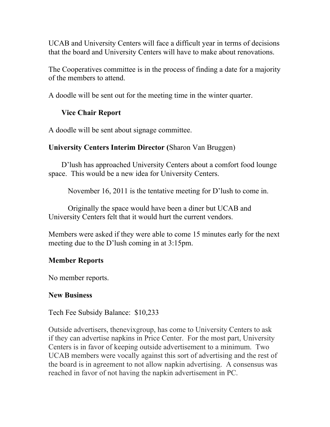UCAB and University Centers will face a difficult year in terms of decisions that the board and University Centers will have to make about renovations.

The Cooperatives committee is in the process of finding a date for a majority of the members to attend.

A doodle will be sent out for the meeting time in the winter quarter.

# **Vice Chair Report**

A doodle will be sent about signage committee.

# **University Centers Interim Director (**Sharon Van Bruggen)

D'lush has approached University Centers about a comfort food lounge space. This would be a new idea for University Centers.

November 16, 2011 is the tentative meeting for D'lush to come in.

Originally the space would have been a diner but UCAB and University Centers felt that it would hurt the current vendors.

Members were asked if they were able to come 15 minutes early for the next meeting due to the D'lush coming in at 3:15pm.

## **Member Reports**

No member reports.

## **New Business**

Tech Fee Subsidy Balance: \$10,233

Outside advertisers, thenevixgroup, has come to University Centers to ask if they can advertise napkins in Price Center. For the most part, University Centers is in favor of keeping outside advertisement to a minimum. Two UCAB members were vocally against this sort of advertising and the rest of the board is in agreement to not allow napkin advertising. A consensus was reached in favor of not having the napkin advertisement in PC.